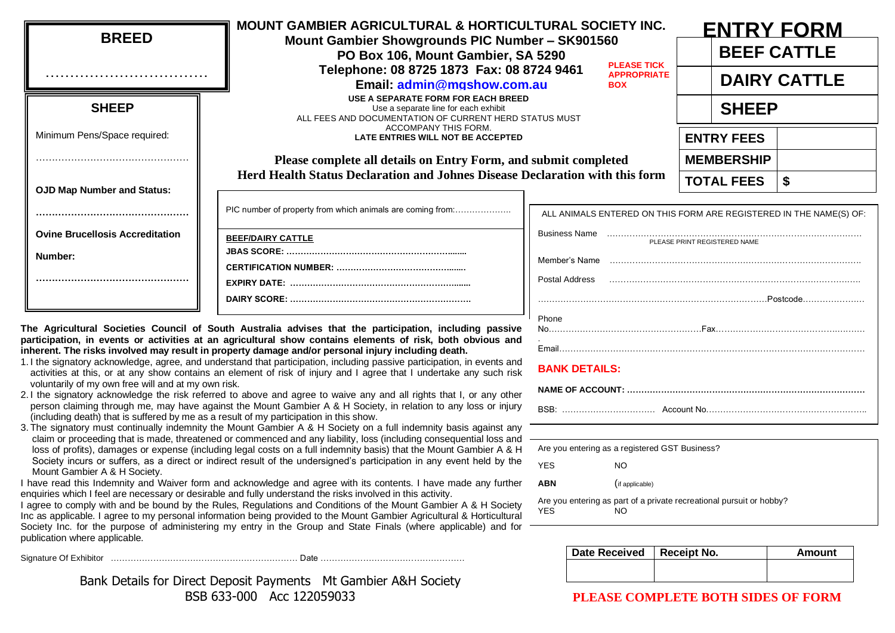| <b>BREED</b>                           | <b>MOUNT GAMBIER AGRICULTURAL &amp; HORTICULTURAL SOCIETY INC.</b><br>Mount Gambier Showgrounds PIC Number - SK901560<br>PO Box 106, Mount Gambier, SA 5290<br>Telephone: 08 8725 1873 Fax: 08 8724 9461 | <b>PLEASE TICK</b><br><b>APPROPRIATE</b>                              | <b>ENTRY FORM</b><br><b>BEEF CATTLE</b><br><b>DAIRY CATTLE</b> |           |  |
|----------------------------------------|----------------------------------------------------------------------------------------------------------------------------------------------------------------------------------------------------------|-----------------------------------------------------------------------|----------------------------------------------------------------|-----------|--|
| <b>SHEEP</b>                           | Email: admin@mgshow.com.au<br>USE A SEPARATE FORM FOR EACH BREED<br>Use a separate line for each exhibit<br>ALL FEES AND DOCUMENTATION OF CURRENT HERD STATUS MUST                                       | <b>BOX</b>                                                            | <b>SHEEP</b>                                                   |           |  |
| Minimum Pens/Space required:           | <b>ACCOMPANY THIS FORM.</b><br>LATE ENTRIES WILL NOT BE ACCEPTED                                                                                                                                         |                                                                       | <b>ENTRY FEES</b>                                              |           |  |
|                                        | Please complete all details on Entry Form, and submit completed                                                                                                                                          | <b>MEMBERSHIP</b>                                                     |                                                                |           |  |
| <b>OJD Map Number and Status:</b>      | Herd Health Status Declaration and Johnes Disease Declaration with this form                                                                                                                             |                                                                       | <b>TOTAL FEES</b>                                              |           |  |
|                                        | PIC number of property from which animals are coming from:                                                                                                                                               | ALL ANIMALS ENTERED ON THIS FORM ARE REGISTERED IN THE NAME(S) OF:    |                                                                |           |  |
| <b>Ovine Brucellosis Accreditation</b> | <b>BEEF/DAIRY CATTLE</b>                                                                                                                                                                                 | <b>Business Name</b><br>PLEASE PRINT REGISTERED NAME<br>Member's Name |                                                                |           |  |
| Number:                                |                                                                                                                                                                                                          |                                                                       |                                                                |           |  |
|                                        |                                                                                                                                                                                                          | Postal Address                                                        |                                                                | .Postcode |  |
|                                        |                                                                                                                                                                                                          | <b>Dhone</b>                                                          |                                                                |           |  |

**The Agricultural Societies Council of South Australia advises that the participation, including passive participation, in events or activities at an agricultural show contains elements of risk, both obvious and inherent. The risks involved may result in property damage and/or personal injury including death.**

- 1. I the signatory acknowledge, agree, and understand that participation, including passive participation, in events and activities at this, or at any show contains an element of risk of injury and I agree that I undertake any such risk voluntarily of my own free will and at my own risk.
- 2. I the signatory acknowledge the risk referred to above and agree to waive any and all rights that I, or any other person claiming through me, may have against the Mount Gambier A & H Society, in relation to any loss or injury (including death) that is suffered by me as a result of my participation in this show.
- 3. The signatory must continually indemnity the Mount Gambier A & H Society on a full indemnity basis against any claim or proceeding that is made, threatened or commenced and any liability, loss (including consequential loss and loss of profits), damages or expense (including legal costs on a full indemnity basis) that the Mount Gambier A & H Society incurs or suffers, as a direct or indirect result of the undersigned's participation in any event held by the Mount Gambier A & H Society.

I have read this Indemnity and Waiver form and acknowledge and agree with its contents. I have made any further enquiries which I feel are necessary or desirable and fully understand the risks involved in this activity.

I agree to comply with and be bound by the Rules, Regulations and Conditions of the Mount Gambier A & H Society Inc as applicable. I agree to my personal information being provided to the Mount Gambier Agricultural & Horticultural Society Inc. for the purpose of administering my entry in the Group and State Finals (where applicable) and for publication where applicable.

Signature Of Exhibitor ………………………………………………………… Date ……………………………………………

Bank Details for Direct Deposit Payments Mt Gambier A&H Society BSB 633-000 Acc 122059033

|       | PLEASE PRINT REGISTERED NAME |
|-------|------------------------------|
|       |                              |
|       |                              |
|       |                              |
|       |                              |
| Phone |                              |

## **BANK DETAILS:**

| Are you entering as a registered GST Business?                              |                 |  |  |  |
|-----------------------------------------------------------------------------|-----------------|--|--|--|
| YES                                                                         | NO              |  |  |  |
| <b>ABN</b>                                                                  | (if applicable) |  |  |  |
| Are you entering as part of a private recreational pursuit or hobby?<br>YES |                 |  |  |  |

| Date Received   Receipt No. | Amount |
|-----------------------------|--------|
|                             |        |
|                             |        |

## **PLEASE COMPLETE BOTH SIDES OF FORM**